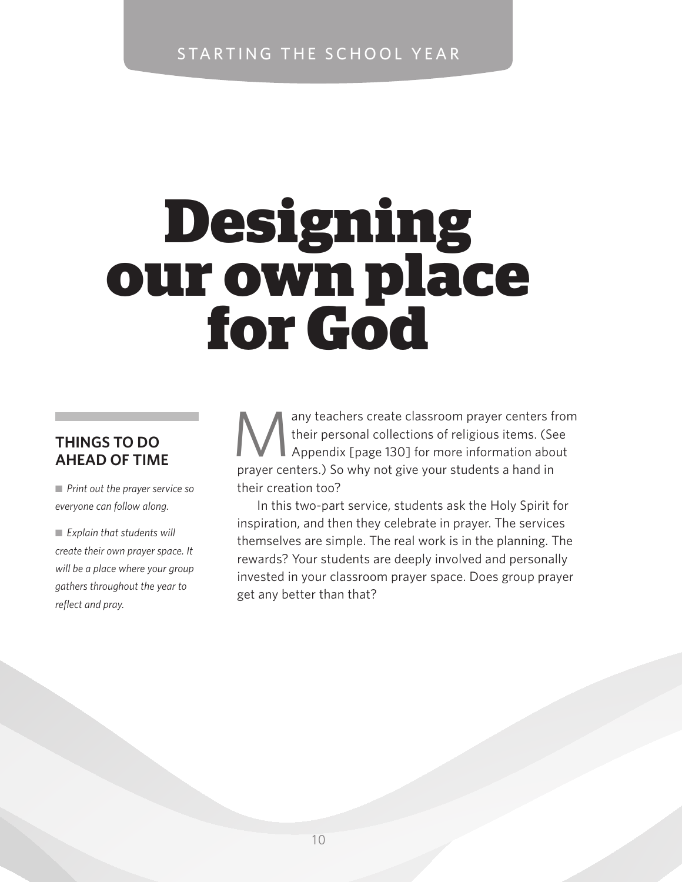## starting the school year

# **Designing<br>our own place<br>for God**

### **Things to do ahead of time**

■ Print out the prayer service so *everyone can follow along.*

■ *Explain that students will create their own prayer space. It will be a place where your group gathers throughout the year to reflect and pray.*

any teachers create classroom prayer centers from<br>their personal collections of religious items. (See<br>Appendix [page 130] for more information about their personal collections of religious items. (See Appendix [page 130] for more information about prayer centers.) So why not give your students a hand in their creation too?

In this two-part service, students ask the Holy Spirit for inspiration, and then they celebrate in prayer. The services themselves are simple. The real work is in the planning. The rewards? Your students are deeply involved and personally invested in your classroom prayer space. Does group prayer get any better than that?